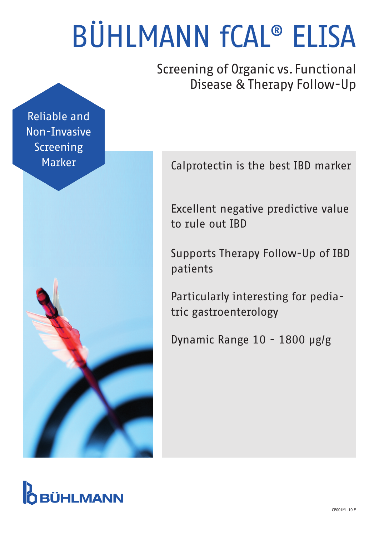# BÜHLMANN fCAL® ELISA

Screening of Organic vs. Functional Disease & Therapy Follow-Up

Reliable and Non-Invasive Screening Marker





Excellent negative predictive value to rule out IBD

Supports Therapy Follow-Up of IBD patients

Particularly interesting for pediatric gastroenterology

Dynamic Range 10 - 1800 µg/g